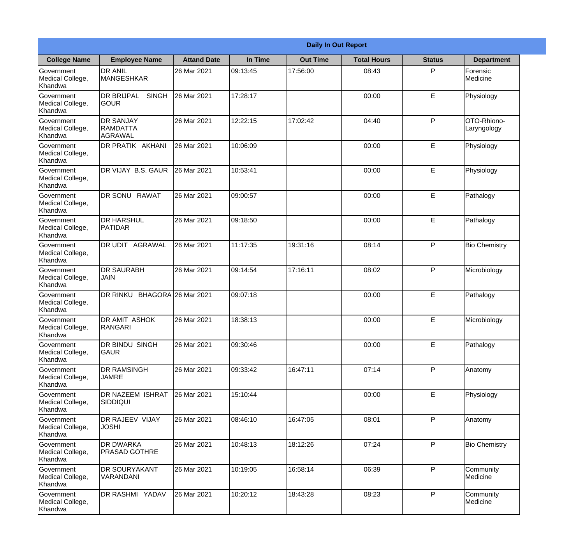|                                                  |                                                |                     |          | <b>Daily In Out Report</b> |                    |               |                            |
|--------------------------------------------------|------------------------------------------------|---------------------|----------|----------------------------|--------------------|---------------|----------------------------|
| <b>College Name</b>                              | <b>Employee Name</b>                           | <b>Attand Date</b>  | In Time  | <b>Out Time</b>            | <b>Total Hours</b> | <b>Status</b> | <b>Department</b>          |
| Government<br>Medical College,<br>Khandwa        | <b>DR ANIL</b><br><b>MANGESHKAR</b>            | 26 Mar 2021         | 09:13:45 | 17:56:00                   | 08:43              | P             | Forensic<br>Medicine       |
| Government<br>Medical College,<br>Khandwa        | <b>DR BRIJPAL</b><br><b>SINGH</b><br> GOUR     | 26 Mar 2021         | 17:28:17 |                            | 00:00              | E             | Physiology                 |
| <b>Government</b><br>Medical College,<br>Khandwa | <b>DR SANJAY</b><br><b>RAMDATTA</b><br>AGRAWAL | 26 Mar 2021         | 12:22:15 | 17:02:42                   | 04:40              | P             | OTO-Rhiono-<br>Laryngology |
| <b>Government</b><br>Medical College,<br>Khandwa | <b>DR PRATIK AKHANI</b>                        | 26 Mar 2021         | 10:06:09 |                            | 00:00              | E             | Physiology                 |
| Government<br>Medical College,<br>Khandwa        | <b>IDR VIJAY B.S. GAUR</b>                     | 26 Mar 2021         | 10:53:41 |                            | 00:00              | E             | Physiology                 |
| Government<br>Medical College,<br>Khandwa        | DR SONU RAWAT                                  | 26 Mar 2021         | 09:00:57 |                            | 00:00              | E             | Pathalogy                  |
| <b>Government</b><br>Medical College,<br>Khandwa | <b>DR HARSHUL</b><br><b>PATIDAR</b>            | 26 Mar 2021         | 09:18:50 |                            | 00:00              | E             | Pathalogy                  |
| <b>Government</b><br>Medical College,<br>Khandwa | <b>DR UDIT AGRAWAL</b>                         | 26 Mar 2021         | 11:17:35 | 19:31:16                   | 08:14              | P             | <b>Bio Chemistry</b>       |
| Government<br>Medical College,<br>Khandwa        | <b>DR SAURABH</b><br><b>JAIN</b>               | 26 Mar 2021         | 09:14:54 | 17:16:11                   | 08:02              | P             | Microbiology               |
| Government<br>Medical College,<br>Khandwa        | DR RINKU                                       | BHAGORA 26 Mar 2021 | 09:07:18 |                            | 00:00              | $\mathsf E$   | Pathalogy                  |
| Government<br>Medical College,<br>Khandwa        | <b>DR AMIT ASHOK</b><br>RANGARI                | 26 Mar 2021         | 18:38:13 |                            | 00:00              | E             | Microbiology               |
| Government<br>Medical College,<br>Khandwa        | <b>DR BINDU SINGH</b><br><b>GAUR</b>           | 26 Mar 2021         | 09:30:46 |                            | 00:00              | E             | Pathalogy                  |
| Government<br>Medical College,<br>Khandwa        | <b>DR RAMSINGH</b><br><b>JAMRE</b>             | 26 Mar 2021         | 09:33:42 | 16:47:11                   | 07:14              | P             | Anatomy                    |
| Government<br>Medical College,<br>Khandwa        | <b>DR NAZEEM ISHRAT</b><br><b>SIDDIQUI</b>     | 26 Mar 2021         | 15:10:44 |                            | 00:00              | $\mathsf E$   | Physiology                 |
| <b>Government</b><br>Medical College,<br>Khandwa | <b>DR RAJEEV VIJAY</b><br><b>JOSHI</b>         | 26 Mar 2021         | 08:46:10 | 16:47:05                   | 08:01              | P             | Anatomy                    |
| Government<br>Medical College,<br>Khandwa        | <b>DR DWARKA</b><br><b>PRASAD GOTHRE</b>       | 26 Mar 2021         | 10:48:13 | 18:12:26                   | 07:24              | P             | <b>Bio Chemistry</b>       |
| Government<br>Medical College,<br>Khandwa        | <b>DR SOURYAKANT</b><br>VARANDANI              | 26 Mar 2021         | 10:19:05 | 16:58:14                   | 06:39              | P             | Community<br>Medicine      |
| Government<br>Medical College,<br>Khandwa        | <b>DR RASHMI YADAV</b>                         | 26 Mar 2021         | 10:20:12 | 18:43:28                   | 08:23              | P             | Community<br>Medicine      |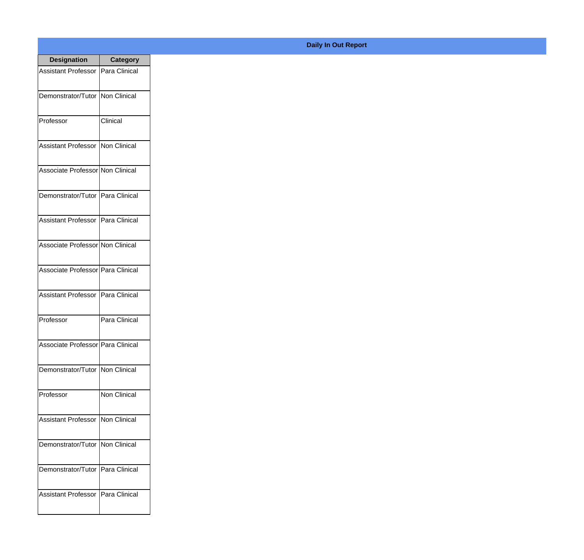| <b>Designation</b>                  | <b>Category</b> |
|-------------------------------------|-----------------|
| Assistant Professor   Para Clinical |                 |
| Demonstrator/Tutor   Non Clinical   |                 |
| Professor                           | Clinical        |
| Assistant Professor   Non Clinical  |                 |
| Associate Professor Non Clinical    |                 |
| Demonstrator/Tutor   Para Clinical  |                 |
| Assistant Professor   Para Clinical |                 |
| Associate Professor Non Clinical    |                 |
| Associate Professor Para Clinical   |                 |
| Assistant Professor   Para Clinical |                 |
| Professor                           | Para Clinical   |
| Associate Professor Para Clinical   |                 |
| Demonstrator/Tutor   Non Clinical   |                 |
| Professor                           | Non Clinical    |
| Assistant Professor   Non Clinical  |                 |
| Demonstrator/Tutor   Non Clinical   |                 |
| Demonstrator/Tutor   Para Clinical  |                 |
| <b>Assistant Professor</b>          | Para Clinical   |

## **Daily In Out Report**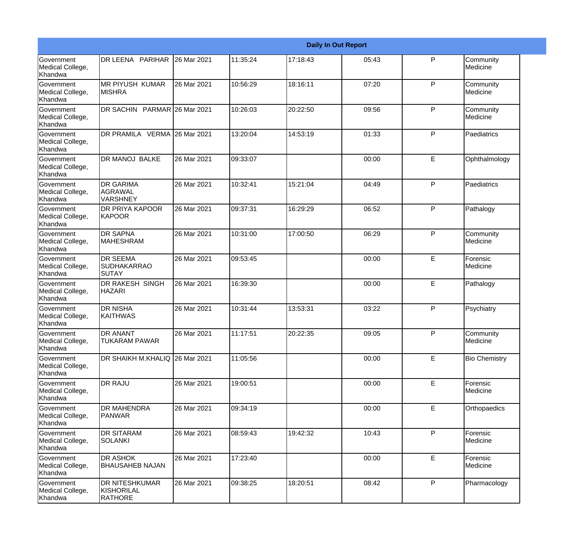|                                                  |                                                       |             |          |          | <b>Daily In Out Report</b> |              |                       |
|--------------------------------------------------|-------------------------------------------------------|-------------|----------|----------|----------------------------|--------------|-----------------------|
| Government<br>Medical College,<br>Khandwa        | DR LEENA PARIHAR                                      | 26 Mar 2021 | 11:35:24 | 17:18:43 | 05:43                      | P            | Community<br>Medicine |
| Government<br>Medical College,<br>Khandwa        | <b>MR PIYUSH KUMAR</b><br> MISHRA                     | 26 Mar 2021 | 10:56:29 | 18:16:11 | 07:20                      | $\mathsf{P}$ | Community<br>Medicine |
| <b>Government</b><br>Medical College,<br>Khandwa | DR SACHIN PARMAR 26 Mar 2021                          |             | 10:26:03 | 20:22:50 | 09:56                      | P            | Community<br>Medicine |
| <b>Government</b><br>Medical College,<br>Khandwa | DR PRAMILA VERMA 26 Mar 2021                          |             | 13:20:04 | 14:53:19 | 01:33                      | $\mathsf{P}$ | Paediatrics           |
| <b>Government</b><br>Medical College,<br>Khandwa | DR MANOJ BALKE                                        | 26 Mar 2021 | 09:33:07 |          | 00:00                      | E            | Ophthalmology         |
| Government<br>Medical College,<br><b>Khandwa</b> | <b>DR GARIMA</b><br><b>AGRAWAL</b><br><b>VARSHNEY</b> | 26 Mar 2021 | 10:32:41 | 15:21:04 | 04:49                      | $\mathsf{P}$ | Paediatrics           |
| Government<br>Medical College,<br>Khandwa        | <b>DR PRIYA KAPOOR</b><br>KAPOOR                      | 26 Mar 2021 | 09:37:31 | 16:29:29 | 06:52                      | $\mathsf{P}$ | Pathalogy             |
| Government<br>Medical College,<br>Khandwa        | <b>DR SAPNA</b><br><b>MAHESHRAM</b>                   | 26 Mar 2021 | 10:31:00 | 17:00:50 | 06:29                      | $\mathsf{P}$ | Community<br>Medicine |
| Government<br>Medical College,<br>Khandwa        | <b>DR SEEMA</b><br><b>SUDHAKARRAO</b><br>SUTAY        | 26 Mar 2021 | 09:53:45 |          | 00:00                      | E            | Forensic<br>Medicine  |
| <b>Government</b><br>Medical College,<br>Khandwa | DR RAKESH SINGH<br><b>HAZARI</b>                      | 26 Mar 2021 | 16:39:30 |          | 00:00                      | E            | Pathalogy             |
| Government<br>Medical College,<br>Khandwa        | <b>DR NISHA</b><br><b>KAITHWAS</b>                    | 26 Mar 2021 | 10:31:44 | 13:53:31 | 03:22                      | P            | Psychiatry            |
| Government<br>Medical College,<br>Khandwa        | DR ANANT<br><b>TUKARAM PAWAR</b>                      | 26 Mar 2021 | 11:17:51 | 20:22:35 | 09:05                      | P            | Community<br>Medicine |
| Government<br>Medical College,<br>Khandwa        | DR SHAIKH M.KHALIQ 26 Mar 2021                        |             | 11:05:56 |          | 00:00                      | E            | <b>Bio Chemistry</b>  |
| Government<br>Medical College,<br>Khandwa        | DR RAJU                                               | 26 Mar 2021 | 19:00:51 |          | 00:00                      | E            | Forensic<br>Medicine  |
| Government<br>Medical College,<br>Khandwa        | <b>DR MAHENDRA</b><br>PANWAR                          | 26 Mar 2021 | 09:34:19 |          | 00:00                      | E            | Orthopaedics          |
| Government<br>Medical College,<br>Khandwa        | <b>DR SITARAM</b><br><b>SOLANKI</b>                   | 26 Mar 2021 | 08:59:43 | 19:42:32 | 10:43                      | $\mathsf{P}$ | Forensic<br>Medicine  |
| Government<br>Medical College,<br>Khandwa        | DR ASHOK<br><b>BHAUSAHEB NAJAN</b>                    | 26 Mar 2021 | 17:23:40 |          | 00:00                      | E            | Forensic<br>Medicine  |
| Government<br>Medical College,<br>Khandwa        | DR NITESHKUMAR<br>KISHORILAL<br><b>RATHORE</b>        | 26 Mar 2021 | 09:38:25 | 18:20:51 | 08:42                      | P            | Pharmacology          |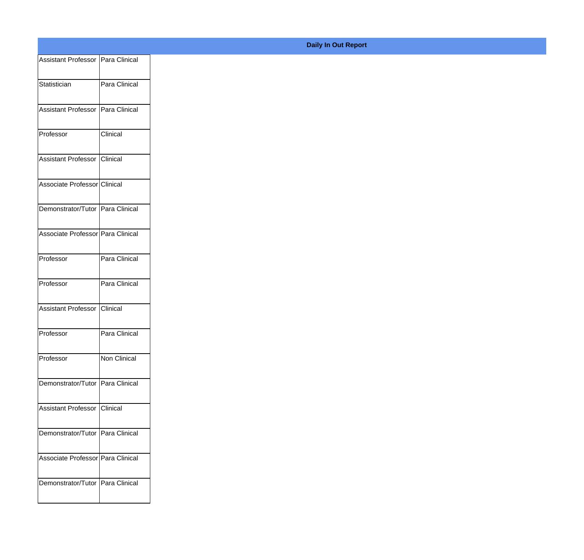| Assistant Professor   Para Clinical |               |
|-------------------------------------|---------------|
| Statistician                        | Para Clinical |
|                                     |               |
| Assistant Professor   Para Clinical |               |
| Professor                           | Clinical      |
|                                     |               |
| Assistant Professor Clinical        |               |
| Associate Professor Clinical        |               |
| Demonstrator/Tutor Para Clinical    |               |
|                                     |               |
| Associate Professor Para Clinical   |               |
| Professor                           | Para Clinical |
| Professor                           | Para Clinical |
|                                     |               |
| Assistant Professor Clinical        |               |
| Professor                           | Para Clinical |
| Professor                           | Non Clinical  |
|                                     |               |
| Demonstrator/Tutor   Para Clinical  |               |
| Assistant Professor Clinical        |               |
|                                     |               |
| Demonstrator/Tutor   Para Clinical  |               |
| Associate Professor Para Clinical   |               |
| Demonstrator/Tutor   Para Clinical  |               |
|                                     |               |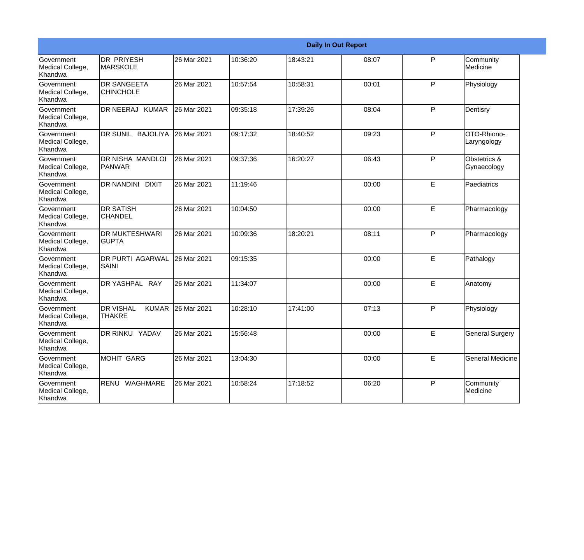|                                                  |                                                   |             |          |          | <b>Daily In Out Report</b> |   |                             |
|--------------------------------------------------|---------------------------------------------------|-------------|----------|----------|----------------------------|---|-----------------------------|
| Government<br>Medical College,<br>Khandwa        | IDR PRIYESH<br><b>MARSKOLE</b>                    | 26 Mar 2021 | 10:36:20 | 18:43:21 | 08:07                      | P | Community<br>Medicine       |
| Government<br>Medical College,<br>Khandwa        | <b>DR SANGEETA</b><br><b>CHINCHOLE</b>            | 26 Mar 2021 | 10:57:54 | 10:58:31 | 00:01                      | P | Physiology                  |
| <b>Government</b><br>Medical College,<br>Khandwa | DR NEERAJ KUMAR                                   | 26 Mar 2021 | 09:35:18 | 17:39:26 | 08:04                      | P | Dentisry                    |
| Government<br>Medical College,<br>Khandwa        | DR SUNIL BAJOLIYA                                 | 26 Mar 2021 | 09:17:32 | 18:40:52 | 09:23                      | P | OTO-Rhiono-<br>Laryngology  |
| Government<br>Medical College,<br>Khandwa        | <b>DR NISHA MANDLOI</b><br>PANWAR                 | 26 Mar 2021 | 09:37:36 | 16:20:27 | 06:43                      | P | Obstetrics &<br>Gynaecology |
| Government<br>Medical College,<br>Khandwa        | <b>DR NANDINI DIXIT</b>                           | 26 Mar 2021 | 11:19:46 |          | 00:00                      | E | Paediatrics                 |
| <b>Government</b><br>Medical College,<br>Khandwa | <b>DR SATISH</b><br><b>CHANDEL</b>                | 26 Mar 2021 | 10:04:50 |          | 00:00                      | E | Pharmacology                |
| Government<br>Medical College,<br>Khandwa        | <b>DR MUKTESHWARI</b><br><b>GUPTA</b>             | 26 Mar 2021 | 10:09:36 | 18:20:21 | 08:11                      | P | Pharmacology                |
| Government<br>Medical College,<br>Khandwa        | <b>DR PURTI AGARWAL</b><br><b>SAINI</b>           | 26 Mar 2021 | 09:15:35 |          | 00:00                      | E | Pathalogy                   |
| Government<br>Medical College,<br>Khandwa        | DR YASHPAL RAY                                    | 26 Mar 2021 | 11:34:07 |          | 00:00                      | E | Anatomy                     |
| <b>Government</b><br>Medical College,<br>Khandwa | <b>DR VISHAL</b><br><b>KUMAR</b><br><b>THAKRE</b> | 26 Mar 2021 | 10:28:10 | 17:41:00 | 07:13                      | P | Physiology                  |
| Government<br>Medical College,<br>Khandwa        | DR RINKU YADAV                                    | 26 Mar 2021 | 15:56:48 |          | 00:00                      | E | <b>General Surgery</b>      |
| Government<br>Medical College,<br>Khandwa        | MOHIT GARG                                        | 26 Mar 2021 | 13:04:30 |          | 00:00                      | E | <b>General Medicine</b>     |
| Government<br>Medical College,<br>Khandwa        | RENU WAGHMARE                                     | 26 Mar 2021 | 10:58:24 | 17:18:52 | 06:20                      | P | Community<br>Medicine       |